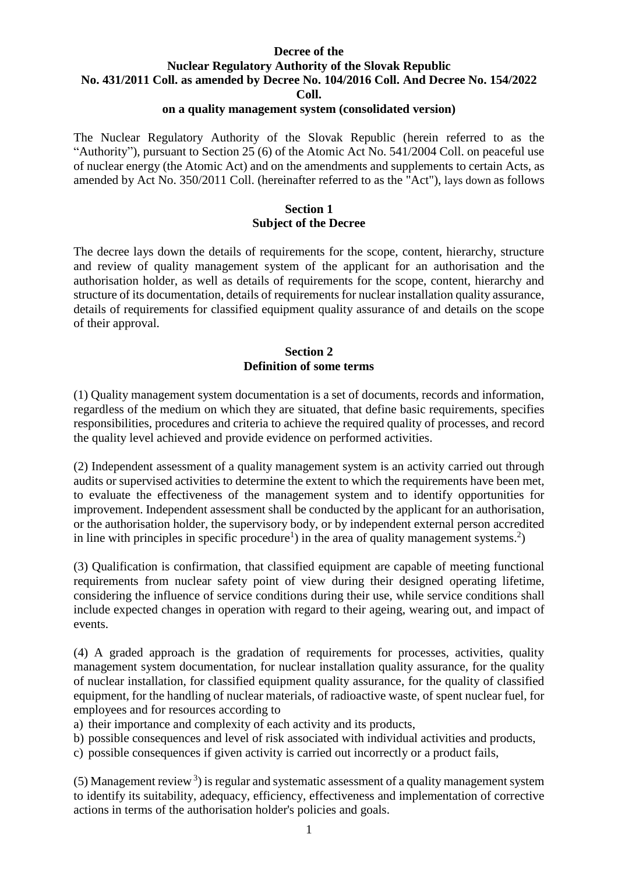#### **Decree of the Nuclear Regulatory Authority of the Slovak Republic No. 431/2011 Coll. as amended by Decree No. 104/2016 Coll. And Decree No. 154/2022 Coll. on a quality management system (consolidated version)**

The Nuclear Regulatory Authority of the Slovak Republic (herein referred to as the "Authority"), pursuant to Section 25 (6) of the Atomic Act No. 541/2004 Coll. on peaceful use of nuclear energy (the Atomic Act) and on the amendments and supplements to certain Acts, as amended by Act No. 350/2011 Coll. (hereinafter referred to as the "Act"), lays down as follows

### **Section 1 Subject of the Decree**

The decree lays down the details of requirements for the scope, content, hierarchy, structure and review of quality management system of the applicant for an authorisation and the authorisation holder, as well as details of requirements for the scope, content, hierarchy and structure of its documentation, details of requirements for nuclear installation quality assurance, details of requirements for classified equipment quality assurance of and details on the scope of their approval.

## **Section 2 Definition of some terms**

(1) Quality management system documentation is a set of documents, records and information, regardless of the medium on which they are situated, that define basic requirements, specifies responsibilities, procedures and criteria to achieve the required quality of processes, and record the quality level achieved and provide evidence on performed activities.

(2) Independent assessment of a quality management system is an activity carried out through audits or supervised activities to determine the extent to which the requirements have been met, to evaluate the effectiveness of the management system and to identify opportunities for improvement. Independent assessment shall be conducted by the applicant for an authorisation, or the authorisation holder, the supervisory body, or by independent external person accredited in line with principles in specific procedure<sup>1</sup>) in the area of quality management systems.<sup>2</sup>)

(3) Qualification is confirmation, that classified equipment are capable of meeting functional requirements from nuclear safety point of view during their designed operating lifetime, considering the influence of service conditions during their use, while service conditions shall include expected changes in operation with regard to their ageing, wearing out, and impact of events.

(4) A graded approach is the gradation of requirements for processes, activities, quality management system documentation, for nuclear installation quality assurance, for the quality of nuclear installation, for classified equipment quality assurance, for the quality of classified equipment, for the handling of nuclear materials, of radioactive waste, of spent nuclear fuel, for employees and for resources according to

a) their importance and complexity of each activity and its products,

b) possible consequences and level of risk associated with individual activities and products,

c) possible consequences if given activity is carried out incorrectly or a product fails,

 $(5)$  Management review<sup>3</sup>) is regular and systematic assessment of a quality management system to identify its suitability, adequacy, efficiency, effectiveness and implementation of corrective actions in terms of the authorisation holder's policies and goals.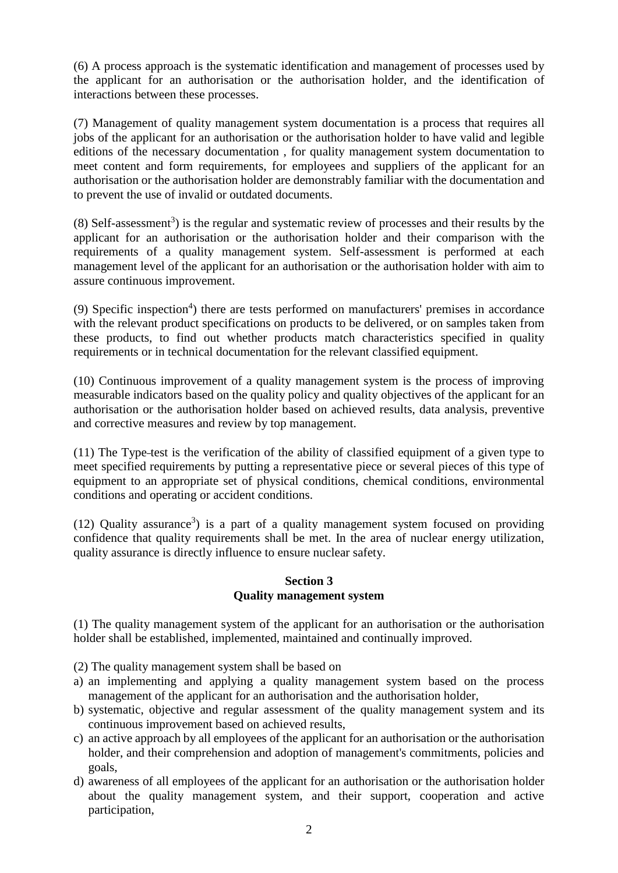(6) A process approach is the systematic identification and management of processes used by the applicant for an authorisation or the authorisation holder, and the identification of interactions between these processes.

(7) Management of quality management system documentation is a process that requires all jobs of the applicant for an authorisation or the authorisation holder to have valid and legible editions of the necessary documentation , for quality management system documentation to meet content and form requirements, for employees and suppliers of the applicant for an authorisation or the authorisation holder are demonstrably familiar with the documentation and to prevent the use of invalid or outdated documents.

 $(8)$  Self-assessment<sup>3</sup>) is the regular and systematic review of processes and their results by the applicant for an authorisation or the authorisation holder and their comparison with the requirements of a quality management system. Self-assessment is performed at each management level of the applicant for an authorisation or the authorisation holder with aim to assure continuous improvement.

(9) Specific inspection<sup>4</sup>) there are tests performed on manufacturers' premises in accordance with the relevant product specifications on products to be delivered, or on samples taken from these products, to find out whether products match characteristics specified in quality requirements or in technical documentation for the relevant classified equipment.

(10) Continuous improvement of a quality management system is the process of improving measurable indicators based on the quality policy and quality objectives of the applicant for an authorisation or the authorisation holder based on achieved results, data analysis, preventive and corrective measures and review by top management.

(11) The Type test is the verification of the ability of classified equipment of a given type to meet specified requirements by putting a representative piece or several pieces of this type of equipment to an appropriate set of physical conditions, chemical conditions, environmental conditions and operating or accident conditions.

 $(12)$  Quality assurance<sup>3</sup>) is a part of a quality management system focused on providing confidence that quality requirements shall be met. In the area of nuclear energy utilization, quality assurance is directly influence to ensure nuclear safety.

## **Section 3 Quality management system**

(1) The quality management system of the applicant for an authorisation or the authorisation holder shall be established, implemented, maintained and continually improved.

(2) The quality management system shall be based on

- a) an implementing and applying a quality management system based on the process management of the applicant for an authorisation and the authorisation holder,
- b) systematic, objective and regular assessment of the quality management system and its continuous improvement based on achieved results,
- c) an active approach by all employees of the applicant for an authorisation or the authorisation holder, and their comprehension and adoption of management's commitments, policies and goals,
- d) awareness of all employees of the applicant for an authorisation or the authorisation holder about the quality management system, and their support, cooperation and active participation,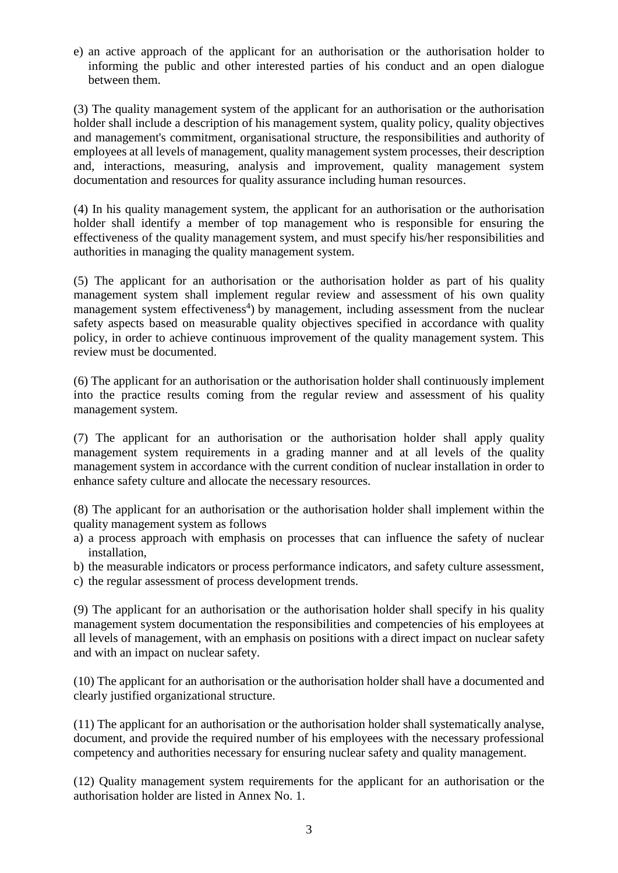e) an active approach of the applicant for an authorisation or the authorisation holder to informing the public and other interested parties of his conduct and an open dialogue between them.

(3) The quality management system of the applicant for an authorisation or the authorisation holder shall include a description of his management system, quality policy, quality objectives and management's commitment, organisational structure, the responsibilities and authority of employees at all levels of management, quality management system processes, their description and, interactions, measuring, analysis and improvement, quality management system documentation and resources for quality assurance including human resources.

(4) In his quality management system, the applicant for an authorisation or the authorisation holder shall identify a member of top management who is responsible for ensuring the effectiveness of the quality management system, and must specify his/her responsibilities and authorities in managing the quality management system.

(5) The applicant for an authorisation or the authorisation holder as part of his quality management system shall implement regular review and assessment of his own quality management system effectiveness<sup>4</sup>) by management, including assessment from the nuclear safety aspects based on measurable quality objectives specified in accordance with quality policy, in order to achieve continuous improvement of the quality management system. This review must be documented.

(6) The applicant for an authorisation or the authorisation holder shall continuously implement into the practice results coming from the regular review and assessment of his quality management system.

(7) The applicant for an authorisation or the authorisation holder shall apply quality management system requirements in a grading manner and at all levels of the quality management system in accordance with the current condition of nuclear installation in order to enhance safety culture and allocate the necessary resources.

(8) The applicant for an authorisation or the authorisation holder shall implement within the quality management system as follows

- a) a process approach with emphasis on processes that can influence the safety of nuclear installation,
- b) the measurable indicators or process performance indicators, and safety culture assessment,
- c) the regular assessment of process development trends.

(9) The applicant for an authorisation or the authorisation holder shall specify in his quality management system documentation the responsibilities and competencies of his employees at all levels of management, with an emphasis on positions with a direct impact on nuclear safety and with an impact on nuclear safety.

(10) The applicant for an authorisation or the authorisation holder shall have a documented and clearly justified organizational structure.

(11) The applicant for an authorisation or the authorisation holder shall systematically analyse, document, and provide the required number of his employees with the necessary professional competency and authorities necessary for ensuring nuclear safety and quality management.

(12) Quality management system requirements for the applicant for an authorisation or the authorisation holder are listed in Annex No. 1.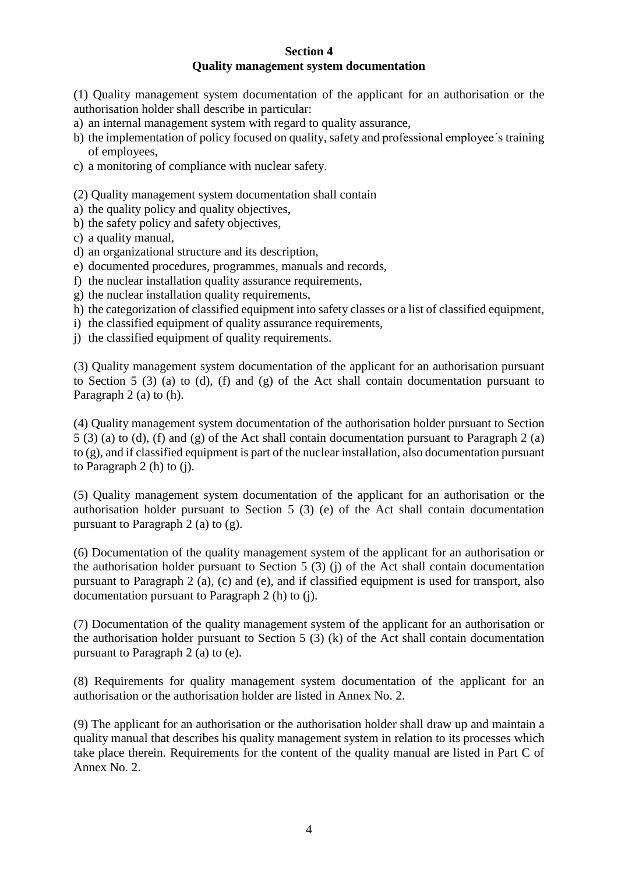#### **Section 4 Quality management system documentation**

(1) Quality management system documentation of the applicant for an authorisation or the authorisation holder shall describe in particular:

- a) an internal management system with regard to quality assurance,
- b) the implementation of policy focused on quality, safety and professional employee´s training of employees,
- c) a monitoring of compliance with nuclear safety.

(2) Quality management system documentation shall contain

- a) the quality policy and quality objectives,
- b) the safety policy and safety objectives,
- c) a quality manual,
- d) an organizational structure and its description,
- e) documented procedures, programmes, manuals and records,
- f) the nuclear installation quality assurance requirements,
- g) the nuclear installation quality requirements,
- h) the categorization of classified equipment into safety classes or a list of classified equipment,
- i) the classified equipment of quality assurance requirements,
- j) the classified equipment of quality requirements.

(3) Quality management system documentation of the applicant for an authorisation pursuant to Section 5 (3) (a) to (d), (f) and (g) of the Act shall contain documentation pursuant to Paragraph 2 (a) to (h).

(4) Quality management system documentation of the authorisation holder pursuant to Section 5 (3) (a) to (d), (f) and (g) of the Act shall contain documentation pursuant to Paragraph 2 (a) to (g), and if classified equipment is part of the nuclear installation, also documentation pursuant to Paragraph 2 (h) to (j).

(5) Quality management system documentation of the applicant for an authorisation or the authorisation holder pursuant to Section 5 (3) (e) of the Act shall contain documentation pursuant to Paragraph 2 (a) to (g).

(6) Documentation of the quality management system of the applicant for an authorisation or the authorisation holder pursuant to Section 5 (3) (j) of the Act shall contain documentation pursuant to Paragraph 2 (a), (c) and (e), and if classified equipment is used for transport, also documentation pursuant to Paragraph 2 (h) to (j).

(7) Documentation of the quality management system of the applicant for an authorisation or the authorisation holder pursuant to Section 5 (3) (k) of the Act shall contain documentation pursuant to Paragraph 2 (a) to (e).

(8) Requirements for quality management system documentation of the applicant for an authorisation or the authorisation holder are listed in Annex No. 2.

(9) The applicant for an authorisation or the authorisation holder shall draw up and maintain a quality manual that describes his quality management system in relation to its processes which take place therein. Requirements for the content of the quality manual are listed in Part C of Annex No. 2.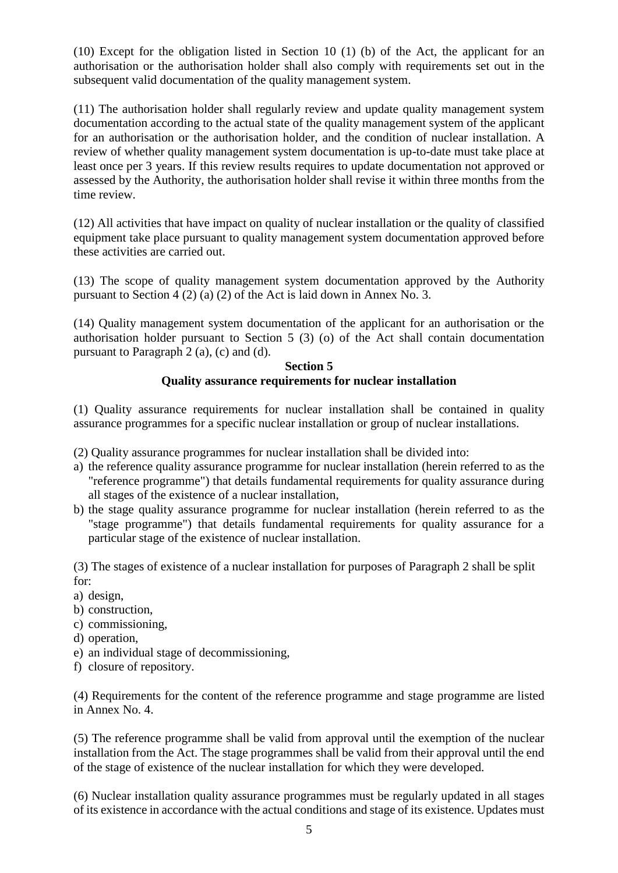(10) Except for the obligation listed in Section 10 (1) (b) of the Act, the applicant for an authorisation or the authorisation holder shall also comply with requirements set out in the subsequent valid documentation of the quality management system.

(11) The authorisation holder shall regularly review and update quality management system documentation according to the actual state of the quality management system of the applicant for an authorisation or the authorisation holder, and the condition of nuclear installation. A review of whether quality management system documentation is up-to-date must take place at least once per 3 years. If this review results requires to update documentation not approved or assessed by the Authority, the authorisation holder shall revise it within three months from the time review.

(12) All activities that have impact on quality of nuclear installation or the quality of classified equipment take place pursuant to quality management system documentation approved before these activities are carried out.

(13) The scope of quality management system documentation approved by the Authority pursuant to Section 4 (2) (a) (2) of the Act is laid down in Annex No. 3.

(14) Quality management system documentation of the applicant for an authorisation or the authorisation holder pursuant to Section 5 (3) (o) of the Act shall contain documentation pursuant to Paragraph 2 (a), (c) and (d).

#### **Section 5 Quality assurance requirements for nuclear installation**

(1) Quality assurance requirements for nuclear installation shall be contained in quality assurance programmes for a specific nuclear installation or group of nuclear installations.

- (2) Quality assurance programmes for nuclear installation shall be divided into:
- a) the reference quality assurance programme for nuclear installation (herein referred to as the "reference programme") that details fundamental requirements for quality assurance during all stages of the existence of a nuclear installation,
- b) the stage quality assurance programme for nuclear installation (herein referred to as the "stage programme") that details fundamental requirements for quality assurance for a particular stage of the existence of nuclear installation.

(3) The stages of existence of a nuclear installation for purposes of Paragraph 2 shall be split for:

- a) design,
- b) construction,
- c) commissioning,
- d) operation,
- e) an individual stage of decommissioning,
- f) closure of repository.

(4) Requirements for the content of the reference programme and stage programme are listed in Annex No. 4.

(5) The reference programme shall be valid from approval until the exemption of the nuclear installation from the Act. The stage programmes shall be valid from their approval until the end of the stage of existence of the nuclear installation for which they were developed.

(6) Nuclear installation quality assurance programmes must be regularly updated in all stages of its existence in accordance with the actual conditions and stage of its existence. Updates must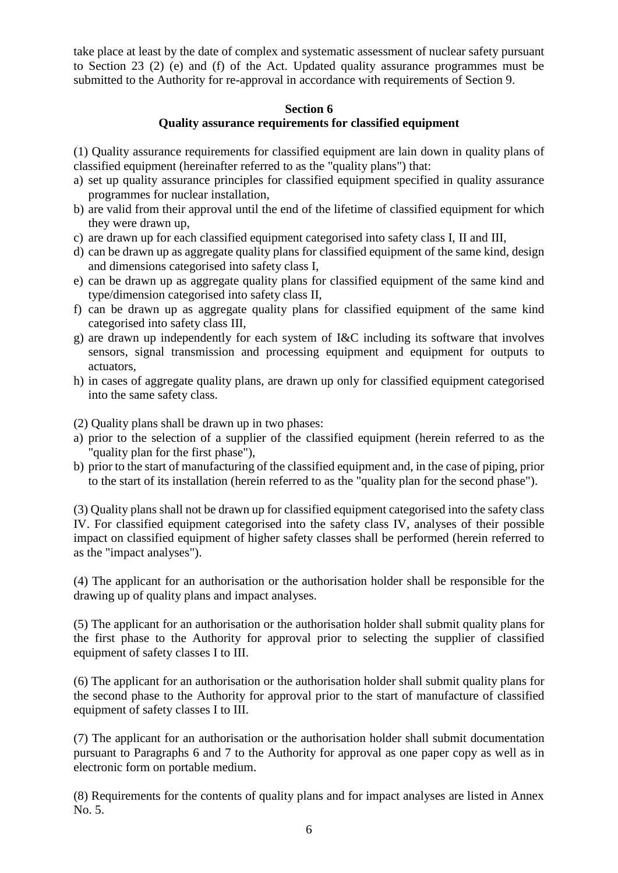take place at least by the date of complex and systematic assessment of nuclear safety pursuant to Section 23 (2) (e) and (f) of the Act. Updated quality assurance programmes must be submitted to the Authority for re-approval in accordance with requirements of Section 9.

#### **Section 6**

#### **Quality assurance requirements for classified equipment**

(1) Quality assurance requirements for classified equipment are lain down in quality plans of classified equipment (hereinafter referred to as the "quality plans") that:

- a) set up quality assurance principles for classified equipment specified in quality assurance programmes for nuclear installation,
- b) are valid from their approval until the end of the lifetime of classified equipment for which they were drawn up,
- c) are drawn up for each classified equipment categorised into safety class I, II and III,
- d) can be drawn up as aggregate quality plans for classified equipment of the same kind, design and dimensions categorised into safety class I,
- e) can be drawn up as aggregate quality plans for classified equipment of the same kind and type/dimension categorised into safety class II,
- f) can be drawn up as aggregate quality plans for classified equipment of the same kind categorised into safety class III,
- g) are drawn up independently for each system of I&C including its software that involves sensors, signal transmission and processing equipment and equipment for outputs to actuators,
- h) in cases of aggregate quality plans, are drawn up only for classified equipment categorised into the same safety class.

(2) Quality plans shall be drawn up in two phases:

- a) prior to the selection of a supplier of the classified equipment (herein referred to as the "quality plan for the first phase"),
- b) prior to the start of manufacturing of the classified equipment and, in the case of piping, prior to the start of its installation (herein referred to as the "quality plan for the second phase").

(3) Quality plans shall not be drawn up for classified equipment categorised into the safety class IV. For classified equipment categorised into the safety class IV, analyses of their possible impact on classified equipment of higher safety classes shall be performed (herein referred to as the "impact analyses").

(4) The applicant for an authorisation or the authorisation holder shall be responsible for the drawing up of quality plans and impact analyses.

(5) The applicant for an authorisation or the authorisation holder shall submit quality plans for the first phase to the Authority for approval prior to selecting the supplier of classified equipment of safety classes I to III.

(6) The applicant for an authorisation or the authorisation holder shall submit quality plans for the second phase to the Authority for approval prior to the start of manufacture of classified equipment of safety classes I to III.

(7) The applicant for an authorisation or the authorisation holder shall submit documentation pursuant to Paragraphs 6 and 7 to the Authority for approval as one paper copy as well as in electronic form on portable medium.

(8) Requirements for the contents of quality plans and for impact analyses are listed in Annex No. 5.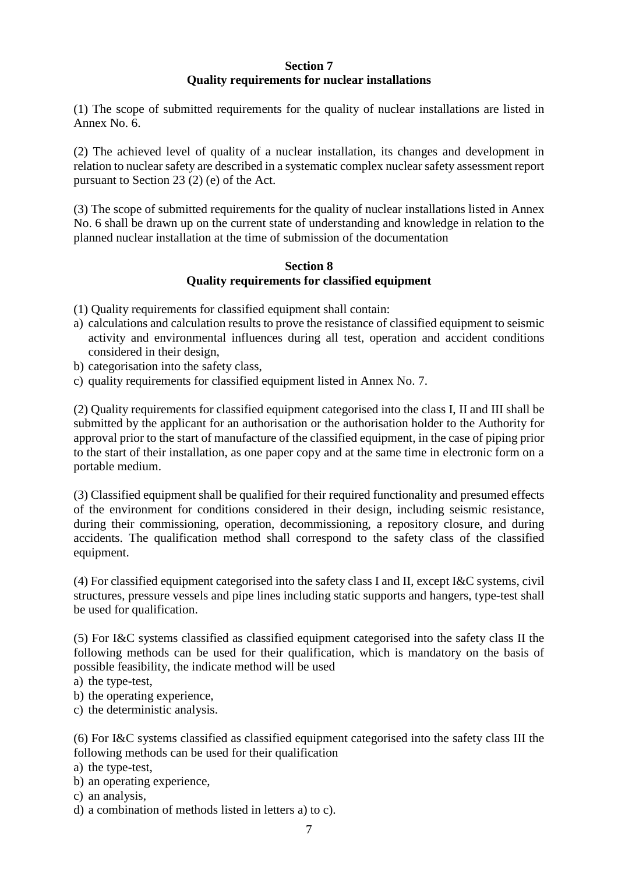## **Section 7 Quality requirements for nuclear installations**

(1) The scope of submitted requirements for the quality of nuclear installations are listed in Annex No. 6.

(2) The achieved level of quality of a nuclear installation, its changes and development in relation to nuclear safety are described in a systematic complex nuclear safety assessment report pursuant to Section 23 (2) (e) of the Act.

(3) The scope of submitted requirements for the quality of nuclear installations listed in Annex No. 6 shall be drawn up on the current state of understanding and knowledge in relation to the planned nuclear installation at the time of submission of the documentation

### **Section 8 Quality requirements for classified equipment**

- (1) Quality requirements for classified equipment shall contain:
- a) calculations and calculation results to prove the resistance of classified equipment to seismic activity and environmental influences during all test, operation and accident conditions considered in their design,
- b) categorisation into the safety class,
- c) quality requirements for classified equipment listed in Annex No. 7.

(2) Quality requirements for classified equipment categorised into the class I, II and III shall be submitted by the applicant for an authorisation or the authorisation holder to the Authority for approval prior to the start of manufacture of the classified equipment, in the case of piping prior to the start of their installation, as one paper copy and at the same time in electronic form on a portable medium.

(3) Classified equipment shall be qualified for their required functionality and presumed effects of the environment for conditions considered in their design, including seismic resistance, during their commissioning, operation, decommissioning, a repository closure, and during accidents. The qualification method shall correspond to the safety class of the classified equipment.

(4) For classified equipment categorised into the safety class I and II, except I&C systems, civil structures, pressure vessels and pipe lines including static supports and hangers, type-test shall be used for qualification.

(5) For I&C systems classified as classified equipment categorised into the safety class II the following methods can be used for their qualification, which is mandatory on the basis of possible feasibility, the indicate method will be used

a) the type-test,

- b) the operating experience,
- c) the deterministic analysis.

(6) For I&C systems classified as classified equipment categorised into the safety class III the following methods can be used for their qualification

- a) the type-test,
- b) an operating experience,
- c) an analysis,
- d) a combination of methods listed in letters a) to c).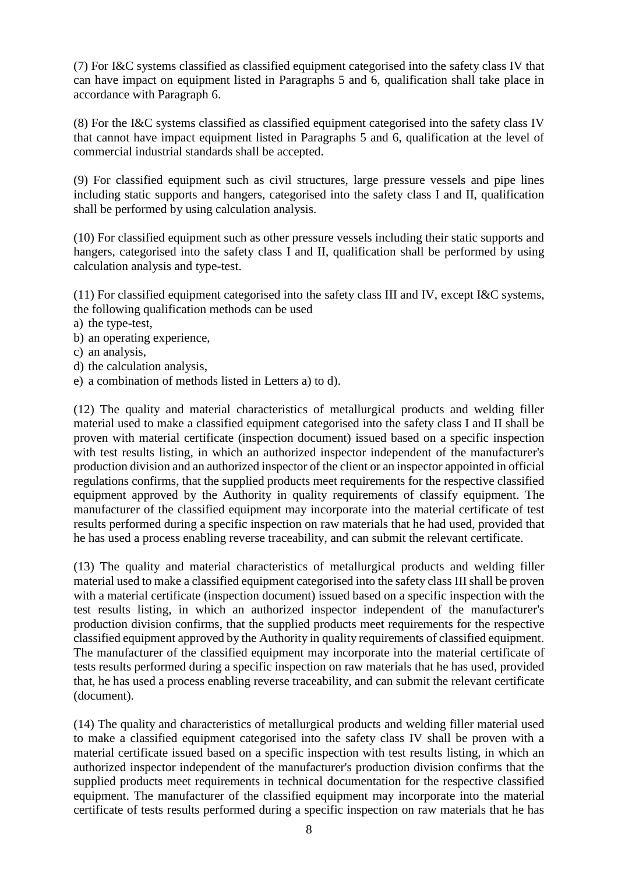(7) For I&C systems classified as classified equipment categorised into the safety class IV that can have impact on equipment listed in Paragraphs 5 and 6, qualification shall take place in accordance with Paragraph 6.

(8) For the I&C systems classified as classified equipment categorised into the safety class IV that cannot have impact equipment listed in Paragraphs 5 and 6, qualification at the level of commercial industrial standards shall be accepted.

(9) For classified equipment such as civil structures, large pressure vessels and pipe lines including static supports and hangers, categorised into the safety class I and II, qualification shall be performed by using calculation analysis.

(10) For classified equipment such as other pressure vessels including their static supports and hangers, categorised into the safety class I and II, qualification shall be performed by using calculation analysis and type-test.

(11) For classified equipment categorised into the safety class III and IV, except I&C systems, the following qualification methods can be used

- a) the type-test,
- b) an operating experience,
- c) an analysis,
- d) the calculation analysis,
- e) a combination of methods listed in Letters a) to d).

(12) The quality and material characteristics of metallurgical products and welding filler material used to make a classified equipment categorised into the safety class I and II shall be proven with material certificate (inspection document) issued based on a specific inspection with test results listing, in which an authorized inspector independent of the manufacturer's production division and an authorized inspector of the client or an inspector appointed in official regulations confirms, that the supplied products meet requirements for the respective classified equipment approved by the Authority in quality requirements of classify equipment. The manufacturer of the classified equipment may incorporate into the material certificate of test results performed during a specific inspection on raw materials that he had used, provided that he has used a process enabling reverse traceability, and can submit the relevant certificate.

(13) The quality and material characteristics of metallurgical products and welding filler material used to make a classified equipment categorised into the safety class III shall be proven with a material certificate (inspection document) issued based on a specific inspection with the test results listing, in which an authorized inspector independent of the manufacturer's production division confirms, that the supplied products meet requirements for the respective classified equipment approved by the Authority in quality requirements of classified equipment. The manufacturer of the classified equipment may incorporate into the material certificate of tests results performed during a specific inspection on raw materials that he has used, provided that, he has used a process enabling reverse traceability, and can submit the relevant certificate (document).

(14) The quality and characteristics of metallurgical products and welding filler material used to make a classified equipment categorised into the safety class IV shall be proven with a material certificate issued based on a specific inspection with test results listing, in which an authorized inspector independent of the manufacturer's production division confirms that the supplied products meet requirements in technical documentation for the respective classified equipment. The manufacturer of the classified equipment may incorporate into the material certificate of tests results performed during a specific inspection on raw materials that he has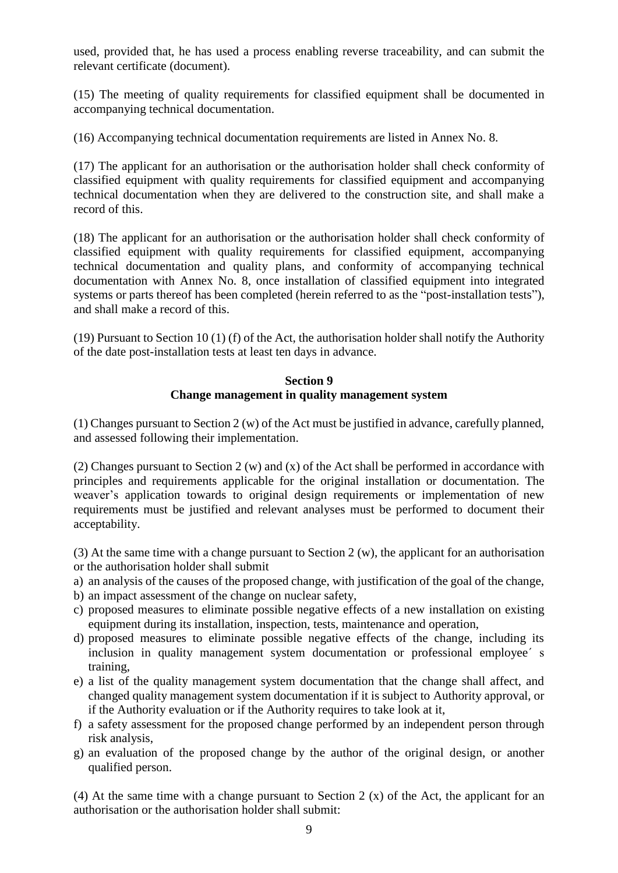used, provided that, he has used a process enabling reverse traceability, and can submit the relevant certificate (document).

(15) The meeting of quality requirements for classified equipment shall be documented in accompanying technical documentation.

(16) Accompanying technical documentation requirements are listed in Annex No. 8.

(17) The applicant for an authorisation or the authorisation holder shall check conformity of classified equipment with quality requirements for classified equipment and accompanying technical documentation when they are delivered to the construction site, and shall make a record of this.

(18) The applicant for an authorisation or the authorisation holder shall check conformity of classified equipment with quality requirements for classified equipment, accompanying technical documentation and quality plans, and conformity of accompanying technical documentation with Annex No. 8, once installation of classified equipment into integrated systems or parts thereof has been completed (herein referred to as the "post-installation tests"), and shall make a record of this.

(19) Pursuant to Section 10 (1) (f) of the Act, the authorisation holder shall notify the Authority of the date post-installation tests at least ten days in advance.

## **Section 9 Change management in quality management system**

(1) Changes pursuant to Section 2 (w) of the Act must be justified in advance, carefully planned, and assessed following their implementation.

(2) Changes pursuant to Section 2 (w) and (x) of the Act shall be performed in accordance with principles and requirements applicable for the original installation or documentation. The weaver's application towards to original design requirements or implementation of new requirements must be justified and relevant analyses must be performed to document their acceptability.

(3) At the same time with a change pursuant to Section 2 (w), the applicant for an authorisation or the authorisation holder shall submit

- a) an analysis of the causes of the proposed change, with justification of the goal of the change,
- b) an impact assessment of the change on nuclear safety,
- c) proposed measures to eliminate possible negative effects of a new installation on existing equipment during its installation, inspection, tests, maintenance and operation,
- d) proposed measures to eliminate possible negative effects of the change, including its inclusion in quality management system documentation or professional employee´ s training,
- e) a list of the quality management system documentation that the change shall affect, and changed quality management system documentation if it is subject to Authority approval, or if the Authority evaluation or if the Authority requires to take look at it,
- f) a safety assessment for the proposed change performed by an independent person through risk analysis,
- g) an evaluation of the proposed change by the author of the original design, or another qualified person.

(4) At the same time with a change pursuant to Section 2 (x) of the Act, the applicant for an authorisation or the authorisation holder shall submit: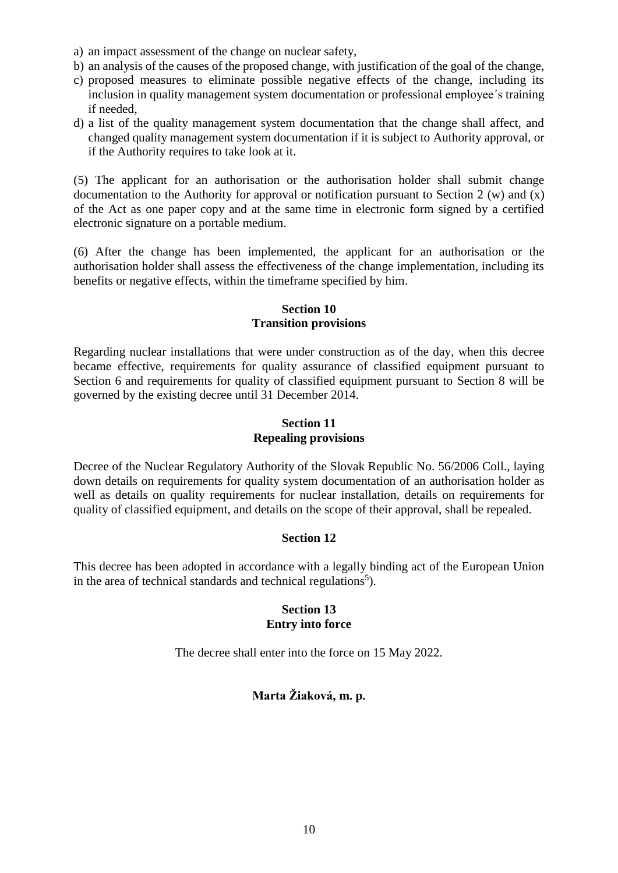- a) an impact assessment of the change on nuclear safety,
- b) an analysis of the causes of the proposed change, with justification of the goal of the change,
- c) proposed measures to eliminate possible negative effects of the change, including its inclusion in quality management system documentation or professional employee´s training if needed,
- d) a list of the quality management system documentation that the change shall affect, and changed quality management system documentation if it is subject to Authority approval, or if the Authority requires to take look at it.

(5) The applicant for an authorisation or the authorisation holder shall submit change documentation to the Authority for approval or notification pursuant to Section 2 (w) and (x) of the Act as one paper copy and at the same time in electronic form signed by a certified electronic signature on a portable medium.

(6) After the change has been implemented, the applicant for an authorisation or the authorisation holder shall assess the effectiveness of the change implementation, including its benefits or negative effects, within the timeframe specified by him.

## **Section 10 Transition provisions**

Regarding nuclear installations that were under construction as of the day, when this decree became effective, requirements for quality assurance of classified equipment pursuant to Section 6 and requirements for quality of classified equipment pursuant to Section 8 will be governed by the existing decree until 31 December 2014.

# **Section 11 Repealing provisions**

Decree of the Nuclear Regulatory Authority of the Slovak Republic No. 56/2006 Coll., laying down details on requirements for quality system documentation of an authorisation holder as well as details on quality requirements for nuclear installation, details on requirements for quality of classified equipment, and details on the scope of their approval, shall be repealed.

# **Section 12**

This decree has been adopted in accordance with a legally binding act of the European Union in the area of technical standards and technical regulations<sup>5</sup>).

## **Section 13 Entry into force**

The decree shall enter into the force on 15 May 2022.

# **Marta Žiaková, m. p.**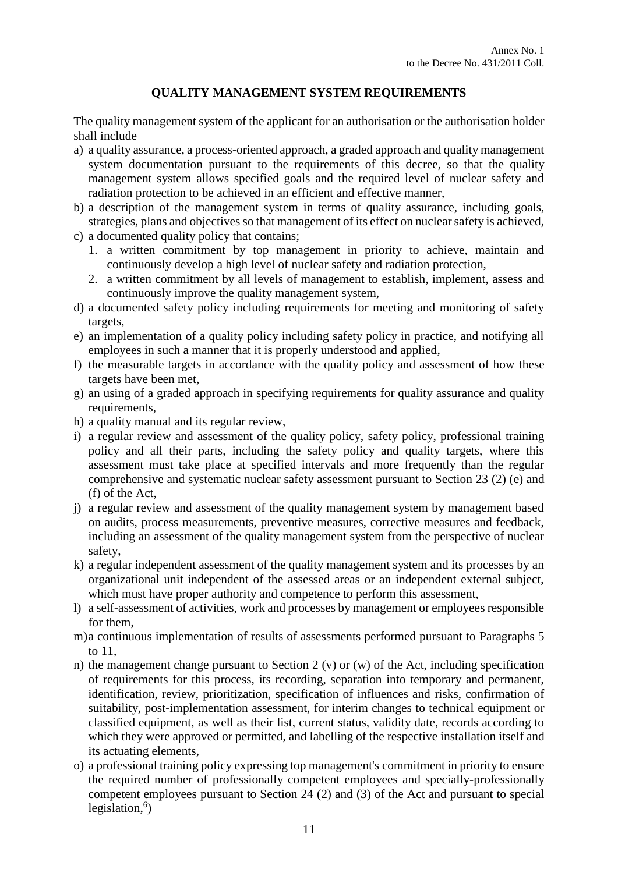# **QUALITY MANAGEMENT SYSTEM REQUIREMENTS**

The quality management system of the applicant for an authorisation or the authorisation holder shall include

- a) a quality assurance, a process-oriented approach, a graded approach and quality management system documentation pursuant to the requirements of this decree, so that the quality management system allows specified goals and the required level of nuclear safety and radiation protection to be achieved in an efficient and effective manner,
- b) a description of the management system in terms of quality assurance, including goals, strategies, plans and objectives so that management of its effect on nuclear safety is achieved,
- c) a documented quality policy that contains;
	- 1. a written commitment by top management in priority to achieve, maintain and continuously develop a high level of nuclear safety and radiation protection,
	- 2. a written commitment by all levels of management to establish, implement, assess and continuously improve the quality management system,
- d) a documented safety policy including requirements for meeting and monitoring of safety targets,
- e) an implementation of a quality policy including safety policy in practice, and notifying all employees in such a manner that it is properly understood and applied,
- f) the measurable targets in accordance with the quality policy and assessment of how these targets have been met,
- g) an using of a graded approach in specifying requirements for quality assurance and quality requirements,
- h) a quality manual and its regular review,
- i) a regular review and assessment of the quality policy, safety policy, professional training policy and all their parts, including the safety policy and quality targets, where this assessment must take place at specified intervals and more frequently than the regular comprehensive and systematic nuclear safety assessment pursuant to Section 23 (2) (e) and (f) of the Act,
- j) a regular review and assessment of the quality management system by management based on audits, process measurements, preventive measures, corrective measures and feedback, including an assessment of the quality management system from the perspective of nuclear safety,
- k) a regular independent assessment of the quality management system and its processes by an organizational unit independent of the assessed areas or an independent external subject, which must have proper authority and competence to perform this assessment,
- l) a self-assessment of activities, work and processes by management or employees responsible for them,
- m)a continuous implementation of results of assessments performed pursuant to Paragraphs 5 to 11,
- n) the management change pursuant to Section 2 (v) or (w) of the Act, including specification of requirements for this process, its recording, separation into temporary and permanent, identification, review, prioritization, specification of influences and risks, confirmation of suitability, post-implementation assessment, for interim changes to technical equipment or classified equipment, as well as their list, current status, validity date, records according to which they were approved or permitted, and labelling of the respective installation itself and its actuating elements,
- o) a professional training policy expressing top management's commitment in priority to ensure the required number of professionally competent employees and specially-professionally competent employees pursuant to Section 24 (2) and (3) of the Act and pursuant to special legislation,<sup>6</sup>)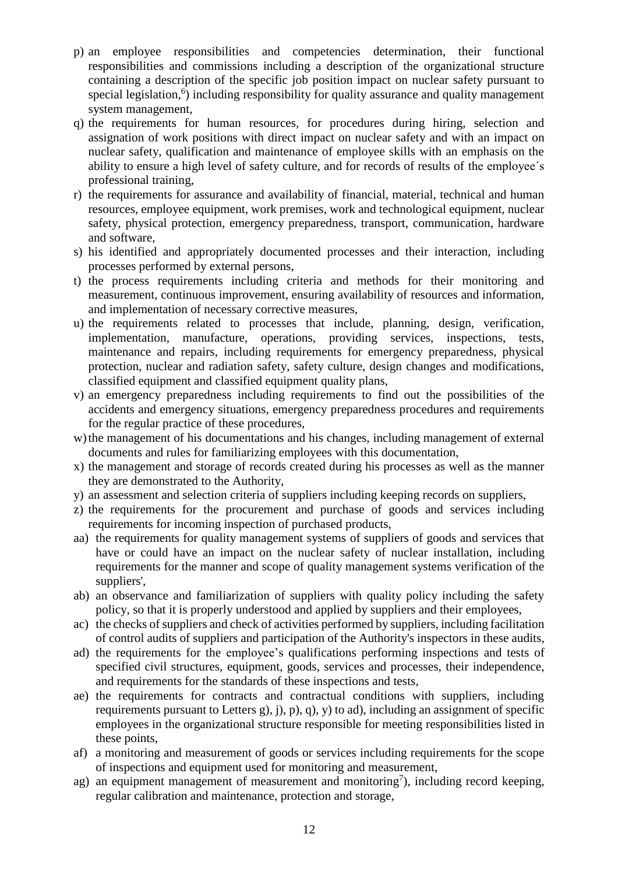- p) an employee responsibilities and competencies determination, their functional responsibilities and commissions including a description of the organizational structure containing a description of the specific job position impact on nuclear safety pursuant to special legislation,<sup>6</sup>) including responsibility for quality assurance and quality management system management,
- q) the requirements for human resources, for procedures during hiring, selection and assignation of work positions with direct impact on nuclear safety and with an impact on nuclear safety, qualification and maintenance of employee skills with an emphasis on the ability to ensure a high level of safety culture, and for records of results of the employee´s professional training,
- r) the requirements for assurance and availability of financial, material, technical and human resources, employee equipment, work premises, work and technological equipment, nuclear safety, physical protection, emergency preparedness, transport, communication, hardware and software,
- s) his identified and appropriately documented processes and their interaction, including processes performed by external persons,
- t) the process requirements including criteria and methods for their monitoring and measurement, continuous improvement, ensuring availability of resources and information, and implementation of necessary corrective measures,
- u) the requirements related to processes that include, planning, design, verification, implementation, manufacture, operations, providing services, inspections, tests, maintenance and repairs, including requirements for emergency preparedness, physical protection, nuclear and radiation safety, safety culture, design changes and modifications, classified equipment and classified equipment quality plans,
- v) an emergency preparedness including requirements to find out the possibilities of the accidents and emergency situations, emergency preparedness procedures and requirements for the regular practice of these procedures,
- w)the management of his documentations and his changes, including management of external documents and rules for familiarizing employees with this documentation,
- x) the management and storage of records created during his processes as well as the manner they are demonstrated to the Authority,
- y) an assessment and selection criteria of suppliers including keeping records on suppliers,
- z) the requirements for the procurement and purchase of goods and services including requirements for incoming inspection of purchased products,
- aa) the requirements for quality management systems of suppliers of goods and services that have or could have an impact on the nuclear safety of nuclear installation, including requirements for the manner and scope of quality management systems verification of the suppliers',
- ab) an observance and familiarization of suppliers with quality policy including the safety policy, so that it is properly understood and applied by suppliers and their employees,
- ac) the checks of suppliers and check of activities performed by suppliers, including facilitation of control audits of suppliers and participation of the Authority's inspectors in these audits,
- ad) the requirements for the employee's qualifications performing inspections and tests of specified civil structures, equipment, goods, services and processes, their independence, and requirements for the standards of these inspections and tests,
- ae) the requirements for contracts and contractual conditions with suppliers, including requirements pursuant to Letters g), j), p), q), y) to ad), including an assignment of specific employees in the organizational structure responsible for meeting responsibilities listed in these points,
- af) a monitoring and measurement of goods or services including requirements for the scope of inspections and equipment used for monitoring and measurement,
- ag) an equipment management of measurement and monitoring<sup>7</sup>), including record keeping, regular calibration and maintenance, protection and storage,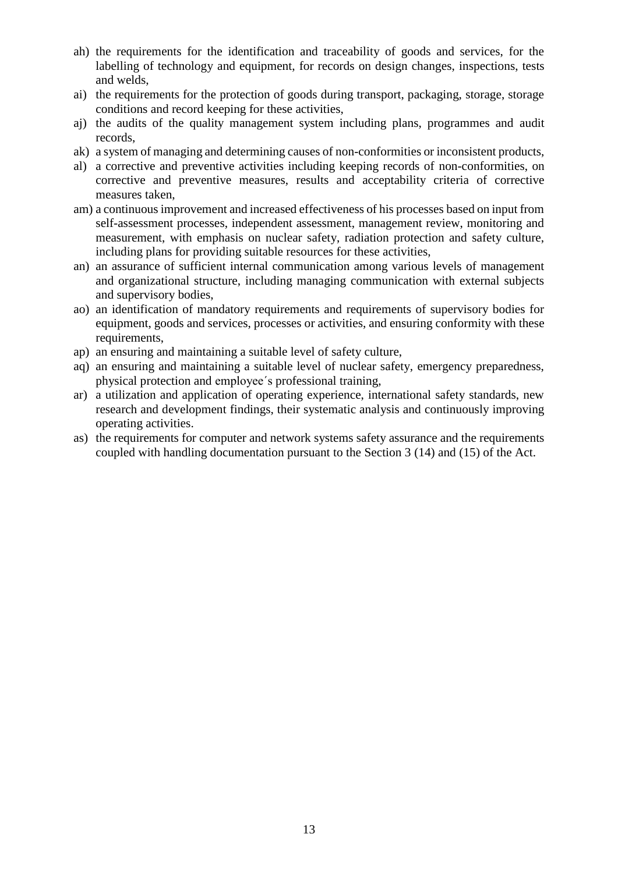- ah) the requirements for the identification and traceability of goods and services, for the labelling of technology and equipment, for records on design changes, inspections, tests and welds,
- ai) the requirements for the protection of goods during transport, packaging, storage, storage conditions and record keeping for these activities,
- aj) the audits of the quality management system including plans, programmes and audit records,
- ak) a system of managing and determining causes of non-conformities or inconsistent products,
- al) a corrective and preventive activities including keeping records of non-conformities, on corrective and preventive measures, results and acceptability criteria of corrective measures taken,
- am) a continuous improvement and increased effectiveness of his processes based on input from self-assessment processes, independent assessment, management review, monitoring and measurement, with emphasis on nuclear safety, radiation protection and safety culture, including plans for providing suitable resources for these activities,
- an) an assurance of sufficient internal communication among various levels of management and organizational structure, including managing communication with external subjects and supervisory bodies,
- ao) an identification of mandatory requirements and requirements of supervisory bodies for equipment, goods and services, processes or activities, and ensuring conformity with these requirements,
- ap) an ensuring and maintaining a suitable level of safety culture,
- aq) an ensuring and maintaining a suitable level of nuclear safety, emergency preparedness, physical protection and employee´s professional training,
- ar) a utilization and application of operating experience, international safety standards, new research and development findings, their systematic analysis and continuously improving operating activities.
- as) the requirements for computer and network systems safety assurance and the requirements coupled with handling documentation pursuant to the Section 3 (14) and (15) of the Act.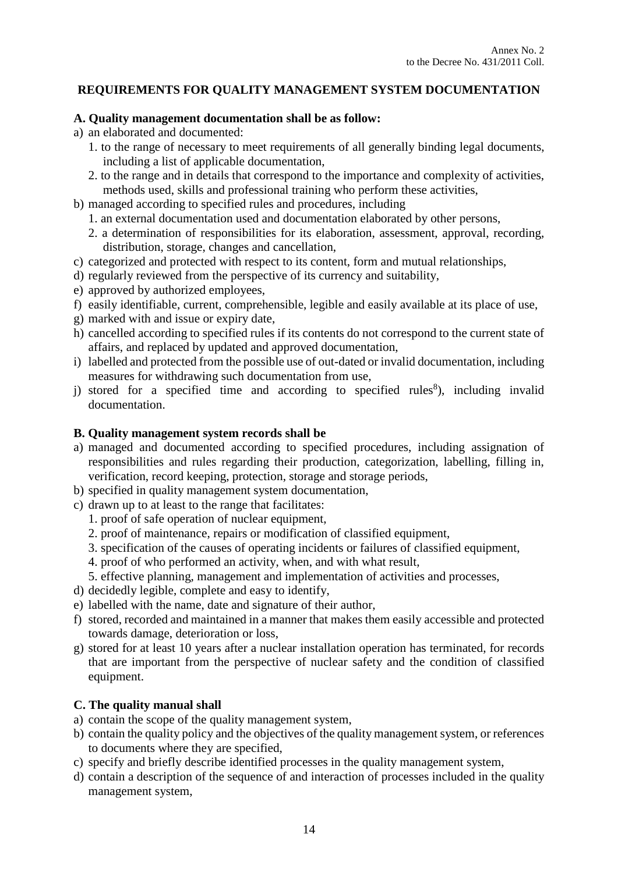# **REQUIREMENTS FOR QUALITY MANAGEMENT SYSTEM DOCUMENTATION**

### **A. Quality management documentation shall be as follow:**

- a) an elaborated and documented:
	- 1. to the range of necessary to meet requirements of all generally binding legal documents, including a list of applicable documentation,
	- 2. to the range and in details that correspond to the importance and complexity of activities, methods used, skills and professional training who perform these activities,
- b) managed according to specified rules and procedures, including
	- 1. an external documentation used and documentation elaborated by other persons,
	- 2. a determination of responsibilities for its elaboration, assessment, approval, recording, distribution, storage, changes and cancellation,
- c) categorized and protected with respect to its content, form and mutual relationships,
- d) regularly reviewed from the perspective of its currency and suitability,
- e) approved by authorized employees,
- f) easily identifiable, current, comprehensible, legible and easily available at its place of use,
- g) marked with and issue or expiry date,
- h) cancelled according to specified rules if its contents do not correspond to the current state of affairs, and replaced by updated and approved documentation,
- i) labelled and protected from the possible use of out-dated or invalid documentation, including measures for withdrawing such documentation from use,
- $j$ ) stored for a specified time and according to specified rules<sup>8</sup>), including invalid documentation.

### **B. Quality management system records shall be**

- a) managed and documented according to specified procedures, including assignation of responsibilities and rules regarding their production, categorization, labelling, filling in, verification, record keeping, protection, storage and storage periods,
- b) specified in quality management system documentation,
- c) drawn up to at least to the range that facilitates:
	- 1. proof of safe operation of nuclear equipment,
	- 2. proof of maintenance, repairs or modification of classified equipment,
	- 3. specification of the causes of operating incidents or failures of classified equipment,
	- 4. proof of who performed an activity, when, and with what result,
	- 5. effective planning, management and implementation of activities and processes,
- d) decidedly legible, complete and easy to identify,
- e) labelled with the name, date and signature of their author,
- f) stored, recorded and maintained in a manner that makes them easily accessible and protected towards damage, deterioration or loss,
- g) stored for at least 10 years after a nuclear installation operation has terminated, for records that are important from the perspective of nuclear safety and the condition of classified equipment.

# **C. The quality manual shall**

- a) contain the scope of the quality management system,
- b) contain the quality policy and the objectives of the quality management system, or references to documents where they are specified,
- c) specify and briefly describe identified processes in the quality management system,
- d) contain a description of the sequence of and interaction of processes included in the quality management system,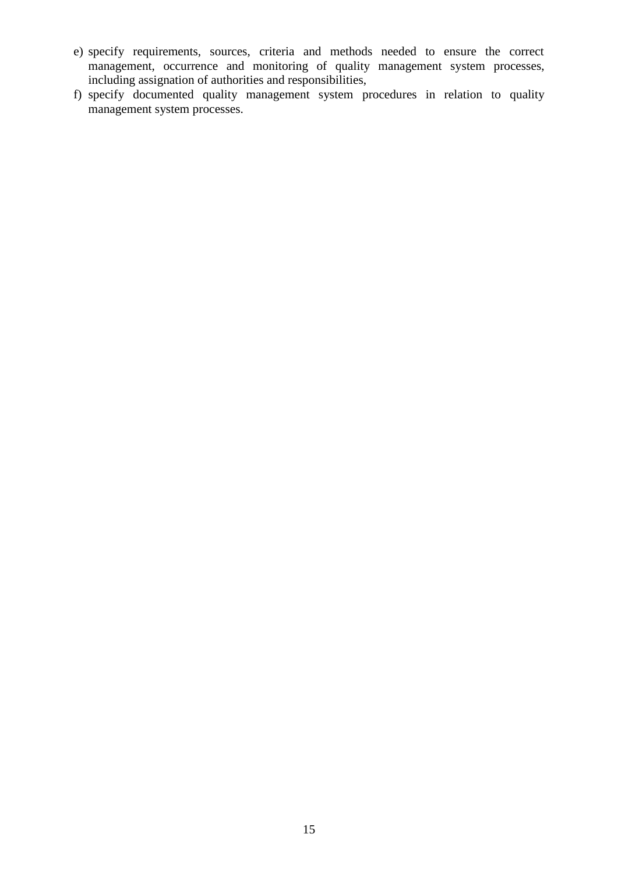- e) specify requirements, sources, criteria and methods needed to ensure the correct management, occurrence and monitoring of quality management system processes, including assignation of authorities and responsibilities,
- f) specify documented quality management system procedures in relation to quality management system processes.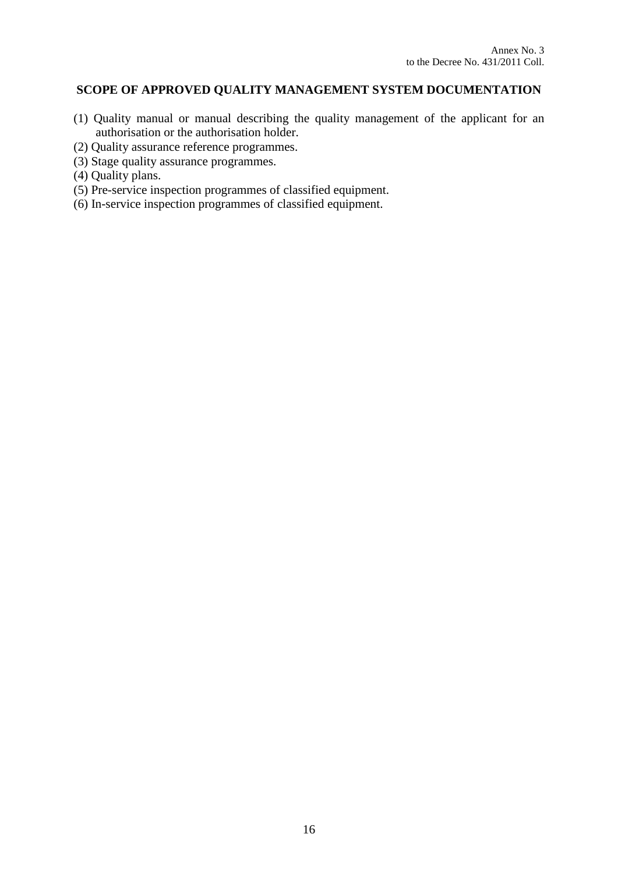# **SCOPE OF APPROVED QUALITY MANAGEMENT SYSTEM DOCUMENTATION**

- (1) Quality manual or manual describing the quality management of the applicant for an authorisation or the authorisation holder.
- (2) Quality assurance reference programmes.
- (3) Stage quality assurance programmes.
- (4) Quality plans.
- (5) Pre-service inspection programmes of classified equipment.
- (6) In-service inspection programmes of classified equipment.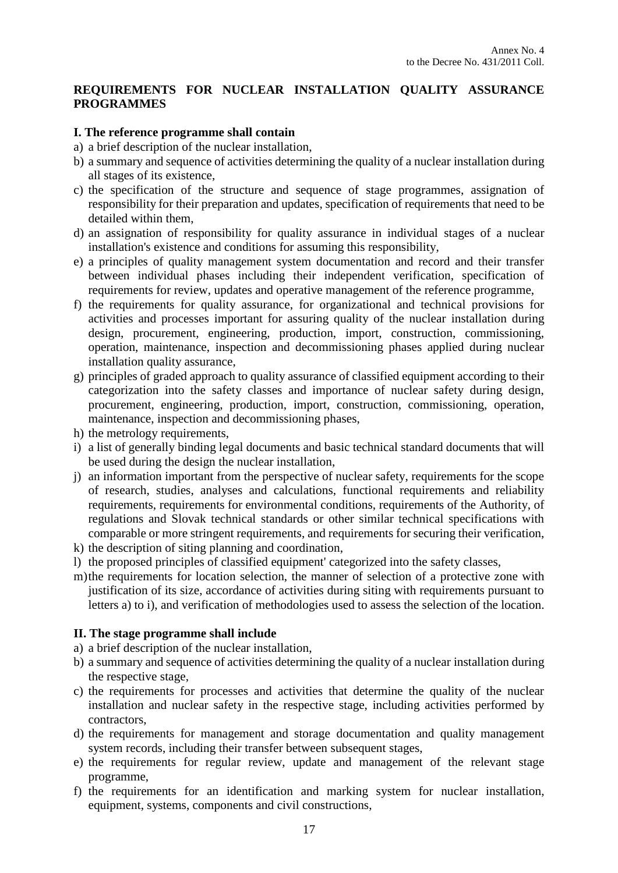## **REQUIREMENTS FOR NUCLEAR INSTALLATION QUALITY ASSURANCE PROGRAMMES**

### **I. The reference programme shall contain**

- a) a brief description of the nuclear installation,
- b) a summary and sequence of activities determining the quality of a nuclear installation during all stages of its existence,
- c) the specification of the structure and sequence of stage programmes, assignation of responsibility for their preparation and updates, specification of requirements that need to be detailed within them,
- d) an assignation of responsibility for quality assurance in individual stages of a nuclear installation's existence and conditions for assuming this responsibility,
- e) a principles of quality management system documentation and record and their transfer between individual phases including their independent verification, specification of requirements for review, updates and operative management of the reference programme,
- f) the requirements for quality assurance, for organizational and technical provisions for activities and processes important for assuring quality of the nuclear installation during design, procurement, engineering, production, import, construction, commissioning, operation, maintenance, inspection and decommissioning phases applied during nuclear installation quality assurance,
- g) principles of graded approach to quality assurance of classified equipment according to their categorization into the safety classes and importance of nuclear safety during design, procurement, engineering, production, import, construction, commissioning, operation, maintenance, inspection and decommissioning phases,
- h) the metrology requirements,
- i) a list of generally binding legal documents and basic technical standard documents that will be used during the design the nuclear installation,
- j) an information important from the perspective of nuclear safety, requirements for the scope of research, studies, analyses and calculations, functional requirements and reliability requirements, requirements for environmental conditions, requirements of the Authority, of regulations and Slovak technical standards or other similar technical specifications with comparable or more stringent requirements, and requirements for securing their verification,
- k) the description of siting planning and coordination,
- l) the proposed principles of classified equipment' categorized into the safety classes,
- m)the requirements for location selection, the manner of selection of a protective zone with justification of its size, accordance of activities during siting with requirements pursuant to letters a) to i), and verification of methodologies used to assess the selection of the location.

#### **II. The stage programme shall include**

- a) a brief description of the nuclear installation,
- b) a summary and sequence of activities determining the quality of a nuclear installation during the respective stage,
- c) the requirements for processes and activities that determine the quality of the nuclear installation and nuclear safety in the respective stage, including activities performed by contractors,
- d) the requirements for management and storage documentation and quality management system records, including their transfer between subsequent stages,
- e) the requirements for regular review, update and management of the relevant stage programme,
- f) the requirements for an identification and marking system for nuclear installation, equipment, systems, components and civil constructions,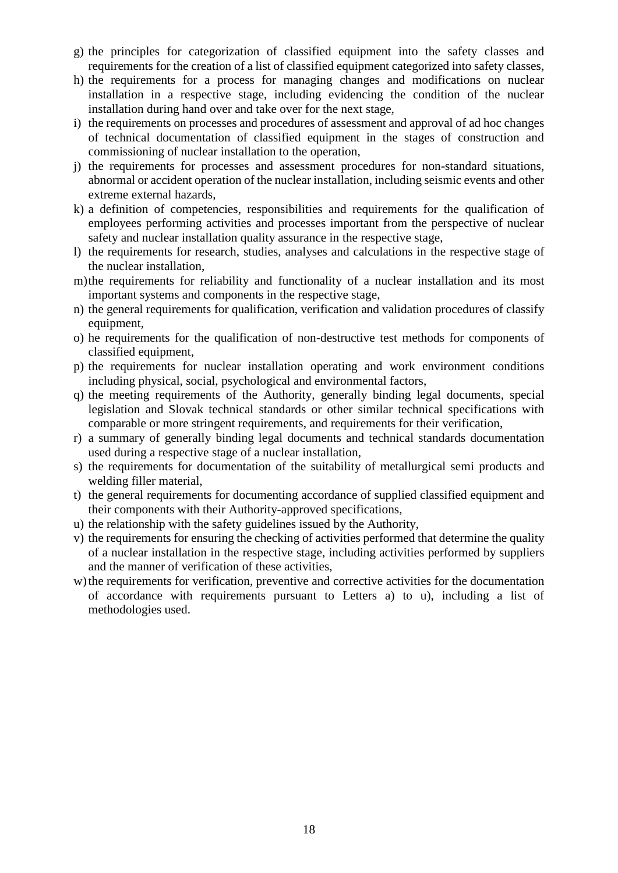- g) the principles for categorization of classified equipment into the safety classes and requirements for the creation of a list of classified equipment categorized into safety classes,
- h) the requirements for a process for managing changes and modifications on nuclear installation in a respective stage, including evidencing the condition of the nuclear installation during hand over and take over for the next stage,
- i) the requirements on processes and procedures of assessment and approval of ad hoc changes of technical documentation of classified equipment in the stages of construction and commissioning of nuclear installation to the operation,
- j) the requirements for processes and assessment procedures for non-standard situations, abnormal or accident operation of the nuclear installation, including seismic events and other extreme external hazards,
- k) a definition of competencies, responsibilities and requirements for the qualification of employees performing activities and processes important from the perspective of nuclear safety and nuclear installation quality assurance in the respective stage,
- l) the requirements for research, studies, analyses and calculations in the respective stage of the nuclear installation,
- m)the requirements for reliability and functionality of a nuclear installation and its most important systems and components in the respective stage,
- n) the general requirements for qualification, verification and validation procedures of classify equipment,
- o) he requirements for the qualification of non-destructive test methods for components of classified equipment,
- p) the requirements for nuclear installation operating and work environment conditions including physical, social, psychological and environmental factors,
- q) the meeting requirements of the Authority, generally binding legal documents, special legislation and Slovak technical standards or other similar technical specifications with comparable or more stringent requirements, and requirements for their verification,
- r) a summary of generally binding legal documents and technical standards documentation used during a respective stage of a nuclear installation,
- s) the requirements for documentation of the suitability of metallurgical semi products and welding filler material,
- t) the general requirements for documenting accordance of supplied classified equipment and their components with their Authority-approved specifications,
- u) the relationship with the safety guidelines issued by the Authority,
- v) the requirements for ensuring the checking of activities performed that determine the quality of a nuclear installation in the respective stage, including activities performed by suppliers and the manner of verification of these activities,
- w) the requirements for verification, preventive and corrective activities for the documentation of accordance with requirements pursuant to Letters a) to u), including a list of methodologies used.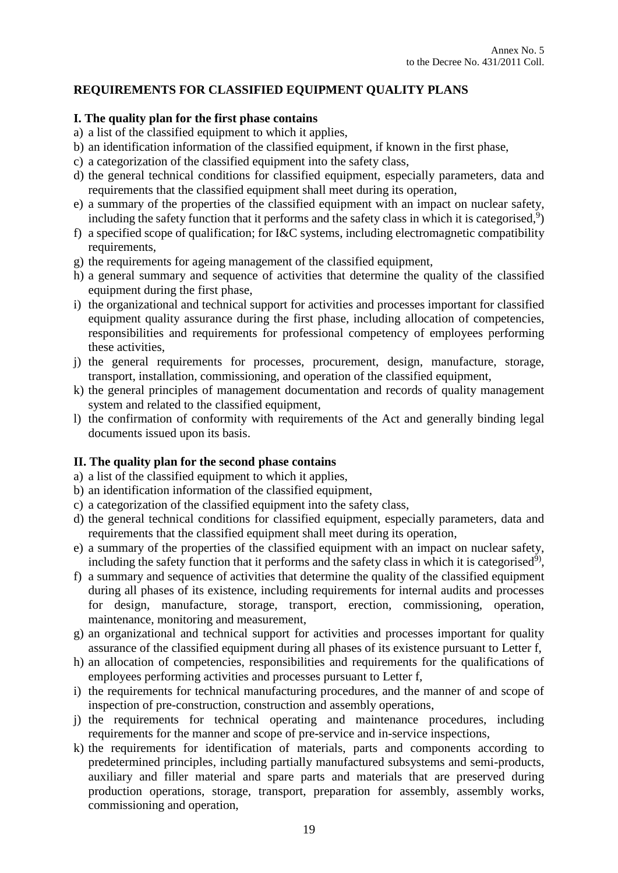# **REQUIREMENTS FOR CLASSIFIED EQUIPMENT QUALITY PLANS**

### **I. The quality plan for the first phase contains**

a) a list of the classified equipment to which it applies,

- b) an identification information of the classified equipment, if known in the first phase,
- c) a categorization of the classified equipment into the safety class,
- d) the general technical conditions for classified equipment, especially parameters, data and requirements that the classified equipment shall meet during its operation,
- e) a summary of the properties of the classified equipment with an impact on nuclear safety, including the safety function that it performs and the safety class in which it is categorised,<sup>9</sup>)
- f) a specified scope of qualification; for I&C systems, including electromagnetic compatibility requirements,
- g) the requirements for ageing management of the classified equipment,
- h) a general summary and sequence of activities that determine the quality of the classified equipment during the first phase,
- i) the organizational and technical support for activities and processes important for classified equipment quality assurance during the first phase, including allocation of competencies, responsibilities and requirements for professional competency of employees performing these activities,
- j) the general requirements for processes, procurement, design, manufacture, storage, transport, installation, commissioning, and operation of the classified equipment,
- k) the general principles of management documentation and records of quality management system and related to the classified equipment,
- l) the confirmation of conformity with requirements of the Act and generally binding legal documents issued upon its basis.

# **II. The quality plan for the second phase contains**

- a) a list of the classified equipment to which it applies,
- b) an identification information of the classified equipment,
- c) a categorization of the classified equipment into the safety class,
- d) the general technical conditions for classified equipment, especially parameters, data and requirements that the classified equipment shall meet during its operation,
- e) a summary of the properties of the classified equipment with an impact on nuclear safety, including the safety function that it performs and the safety class in which it is categorised<sup>9</sup>),
- f) a summary and sequence of activities that determine the quality of the classified equipment during all phases of its existence, including requirements for internal audits and processes for design, manufacture, storage, transport, erection, commissioning, operation, maintenance, monitoring and measurement,
- g) an organizational and technical support for activities and processes important for quality assurance of the classified equipment during all phases of its existence pursuant to Letter f,
- h) an allocation of competencies, responsibilities and requirements for the qualifications of employees performing activities and processes pursuant to Letter f,
- i) the requirements for technical manufacturing procedures, and the manner of and scope of inspection of pre-construction, construction and assembly operations,
- j) the requirements for technical operating and maintenance procedures, including requirements for the manner and scope of pre-service and in-service inspections,
- k) the requirements for identification of materials, parts and components according to predetermined principles, including partially manufactured subsystems and semi-products, auxiliary and filler material and spare parts and materials that are preserved during production operations, storage, transport, preparation for assembly, assembly works, commissioning and operation,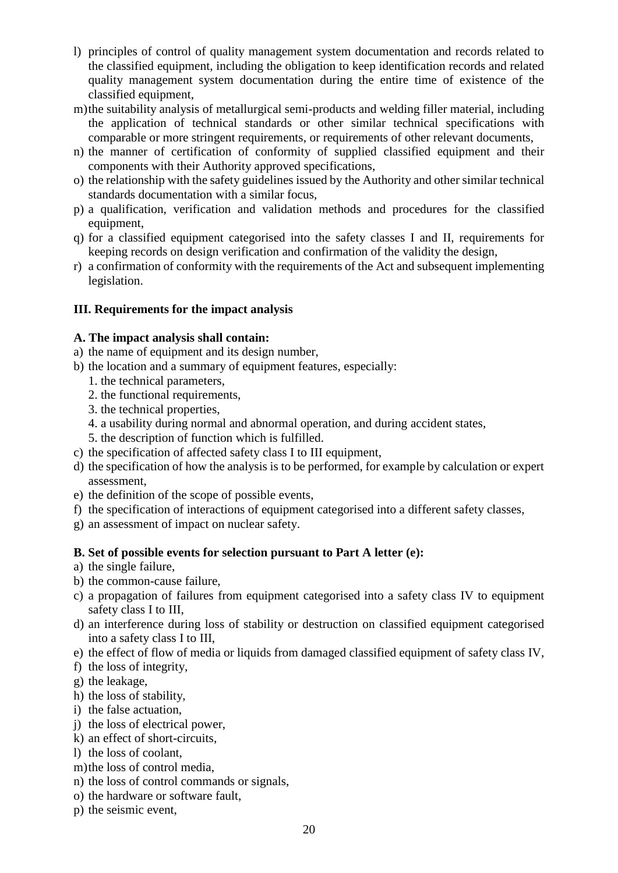- l) principles of control of quality management system documentation and records related to the classified equipment, including the obligation to keep identification records and related quality management system documentation during the entire time of existence of the classified equipment,
- m)the suitability analysis of metallurgical semi-products and welding filler material, including the application of technical standards or other similar technical specifications with comparable or more stringent requirements, or requirements of other relevant documents,
- n) the manner of certification of conformity of supplied classified equipment and their components with their Authority approved specifications,
- o) the relationship with the safety guidelines issued by the Authority and other similar technical standards documentation with a similar focus,
- p) a qualification, verification and validation methods and procedures for the classified equipment,
- q) for a classified equipment categorised into the safety classes I and II, requirements for keeping records on design verification and confirmation of the validity the design,
- r) a confirmation of conformity with the requirements of the Act and subsequent implementing legislation.

# **III. Requirements for the impact analysis**

## **A. The impact analysis shall contain:**

- a) the name of equipment and its design number,
- b) the location and a summary of equipment features, especially:
	- 1. the technical parameters,
	- 2. the functional requirements,
	- 3. the technical properties,
	- 4. a usability during normal and abnormal operation, and during accident states,
	- 5. the description of function which is fulfilled.
- c) the specification of affected safety class I to III equipment,
- d) the specification of how the analysis is to be performed, for example by calculation or expert assessment,
- e) the definition of the scope of possible events,
- f) the specification of interactions of equipment categorised into a different safety classes,
- g) an assessment of impact on nuclear safety.

# **B. Set of possible events for selection pursuant to Part A letter (e):**

- a) the single failure,
- b) the common-cause failure,
- c) a propagation of failures from equipment categorised into a safety class IV to equipment safety class I to III,
- d) an interference during loss of stability or destruction on classified equipment categorised into a safety class I to III,
- e) the effect of flow of media or liquids from damaged classified equipment of safety class IV,
- f) the loss of integrity,
- g) the leakage,
- h) the loss of stability,
- i) the false actuation,
- j) the loss of electrical power,
- k) an effect of short-circuits,
- l) the loss of coolant,
- m)the loss of control media,
- n) the loss of control commands or signals,
- o) the hardware or software fault,
- p) the seismic event,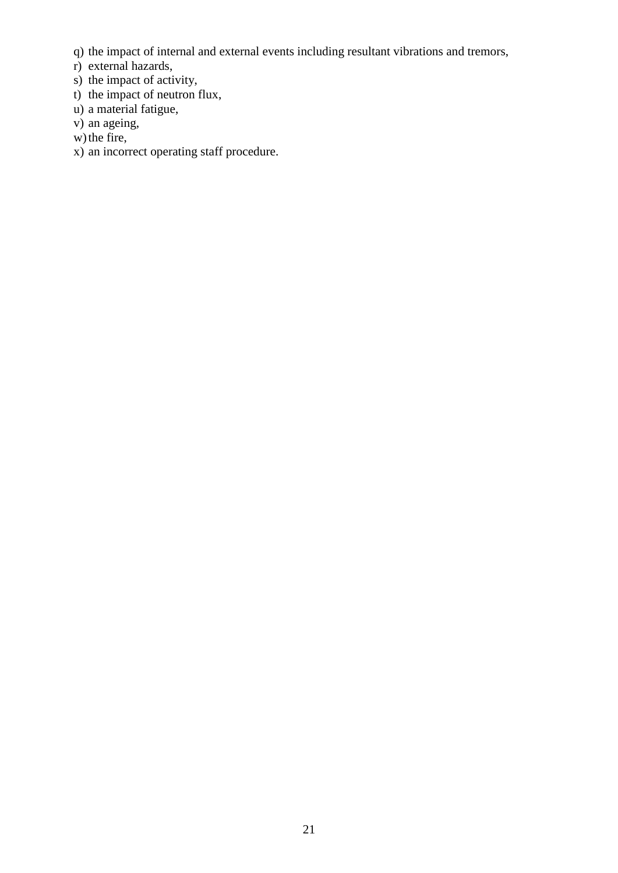- q) the impact of internal and external events including resultant vibrations and tremors,
- r) external hazards,
- s) the impact of activity,
- t) the impact of neutron flux,
- u) a material fatigue,
- v) an ageing,
- w) the fire,
- x) an incorrect operating staff procedure.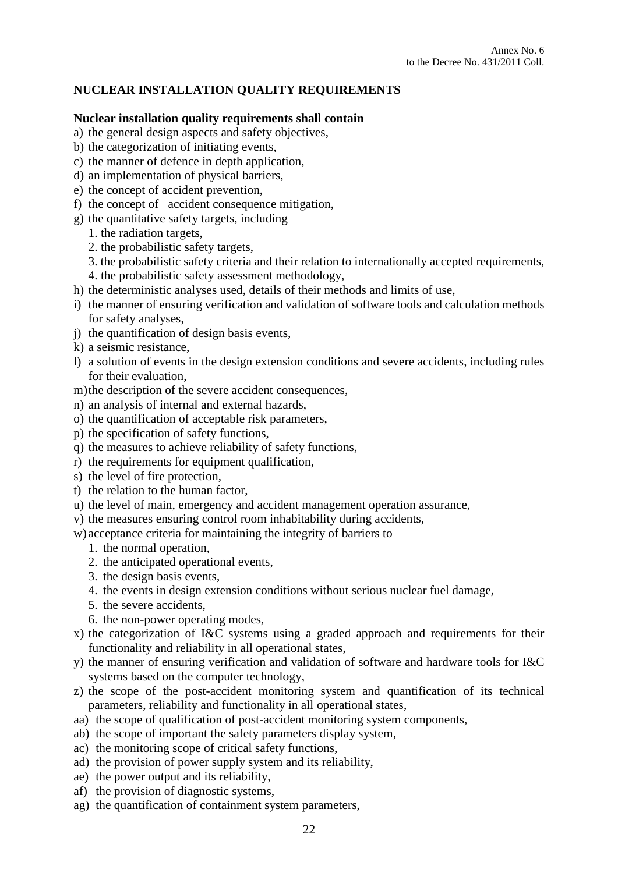# **NUCLEAR INSTALLATION QUALITY REQUIREMENTS**

#### **Nuclear installation quality requirements shall contain**

- a) the general design aspects and safety objectives,
- b) the categorization of initiating events,
- c) the manner of defence in depth application,
- d) an implementation of physical barriers,
- e) the concept of accident prevention,
- f) the concept of accident consequence mitigation,
- g) the quantitative safety targets, including
	- 1. the radiation targets,
	- 2. the probabilistic safety targets,
	- 3. the probabilistic safety criteria and their relation to internationally accepted requirements,
	- 4. the probabilistic safety assessment methodology,
- h) the deterministic analyses used, details of their methods and limits of use,
- i) the manner of ensuring verification and validation of software tools and calculation methods for safety analyses,
- j) the quantification of design basis events,
- k) a seismic resistance,
- l) a solution of events in the design extension conditions and severe accidents, including rules for their evaluation,
- m)the description of the severe accident consequences,
- n) an analysis of internal and external hazards,
- o) the quantification of acceptable risk parameters,
- p) the specification of safety functions,
- q) the measures to achieve reliability of safety functions,
- r) the requirements for equipment qualification,
- s) the level of fire protection,
- t) the relation to the human factor,
- u) the level of main, emergency and accident management operation assurance,
- v) the measures ensuring control room inhabitability during accidents,

w) acceptance criteria for maintaining the integrity of barriers to

- 1. the normal operation,
- 2. the anticipated operational events,
- 3. the design basis events,
- 4. the events in design extension conditions without serious nuclear fuel damage,
- 5. the severe accidents,
- 6. the non-power operating modes,
- x) the categorization of I&C systems using a graded approach and requirements for their functionality and reliability in all operational states,
- y) the manner of ensuring verification and validation of software and hardware tools for I&C systems based on the computer technology,
- z) the scope of the post-accident monitoring system and quantification of its technical parameters, reliability and functionality in all operational states,
- aa) the scope of qualification of post-accident monitoring system components,
- ab) the scope of important the safety parameters display system,
- ac) the monitoring scope of critical safety functions,
- ad) the provision of power supply system and its reliability,
- ae) the power output and its reliability,
- af) the provision of diagnostic systems,
- ag) the quantification of containment system parameters,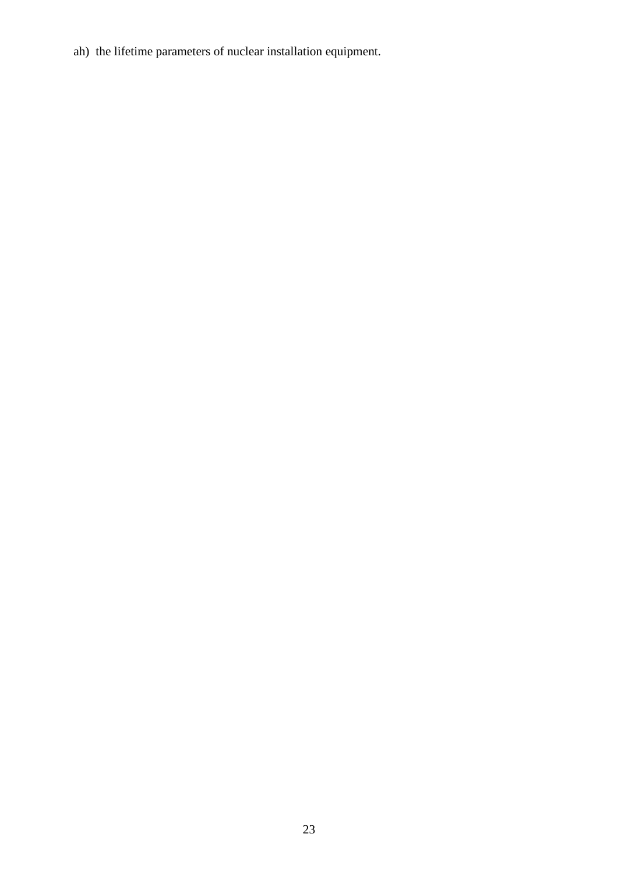ah) the lifetime parameters of nuclear installation equipment.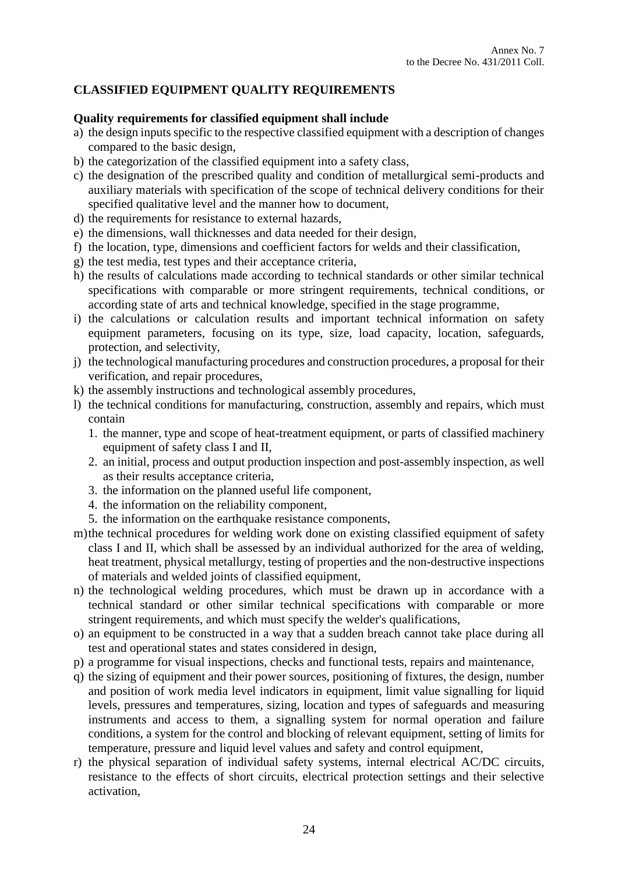# **CLASSIFIED EQUIPMENT QUALITY REQUIREMENTS**

#### **Quality requirements for classified equipment shall include**

- a) the design inputs specific to the respective classified equipment with a description of changes compared to the basic design,
- b) the categorization of the classified equipment into a safety class,
- c) the designation of the prescribed quality and condition of metallurgical semi-products and auxiliary materials with specification of the scope of technical delivery conditions for their specified qualitative level and the manner how to document,
- d) the requirements for resistance to external hazards,
- e) the dimensions, wall thicknesses and data needed for their design,
- f) the location, type, dimensions and coefficient factors for welds and their classification,
- g) the test media, test types and their acceptance criteria,
- h) the results of calculations made according to technical standards or other similar technical specifications with comparable or more stringent requirements, technical conditions, or according state of arts and technical knowledge, specified in the stage programme,
- i) the calculations or calculation results and important technical information on safety equipment parameters, focusing on its type, size, load capacity, location, safeguards, protection, and selectivity,
- j) the technological manufacturing procedures and construction procedures, a proposal for their verification, and repair procedures,
- k) the assembly instructions and technological assembly procedures,
- l) the technical conditions for manufacturing, construction, assembly and repairs, which must contain
	- 1. the manner, type and scope of heat-treatment equipment, or parts of classified machinery equipment of safety class I and II,
	- 2. an initial, process and output production inspection and post-assembly inspection, as well as their results acceptance criteria,
	- 3. the information on the planned useful life component,
	- 4. the information on the reliability component,
	- 5. the information on the earthquake resistance components,
- m)the technical procedures for welding work done on existing classified equipment of safety class I and II, which shall be assessed by an individual authorized for the area of welding, heat treatment, physical metallurgy, testing of properties and the non-destructive inspections of materials and welded joints of classified equipment,
- n) the technological welding procedures, which must be drawn up in accordance with a technical standard or other similar technical specifications with comparable or more stringent requirements, and which must specify the welder's qualifications,
- o) an equipment to be constructed in a way that a sudden breach cannot take place during all test and operational states and states considered in design,
- p) a programme for visual inspections, checks and functional tests, repairs and maintenance,
- q) the sizing of equipment and their power sources, positioning of fixtures, the design, number and position of work media level indicators in equipment, limit value signalling for liquid levels, pressures and temperatures, sizing, location and types of safeguards and measuring instruments and access to them, a signalling system for normal operation and failure conditions, a system for the control and blocking of relevant equipment, setting of limits for temperature, pressure and liquid level values and safety and control equipment,
- r) the physical separation of individual safety systems, internal electrical AC/DC circuits, resistance to the effects of short circuits, electrical protection settings and their selective activation,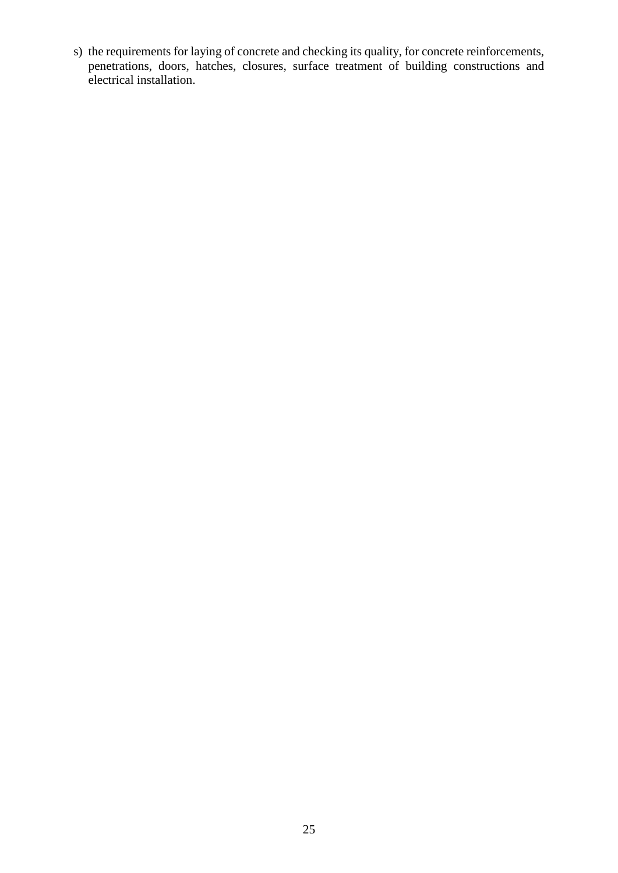s) the requirements for laying of concrete and checking its quality, for concrete reinforcements, penetrations, doors, hatches, closures, surface treatment of building constructions and electrical installation.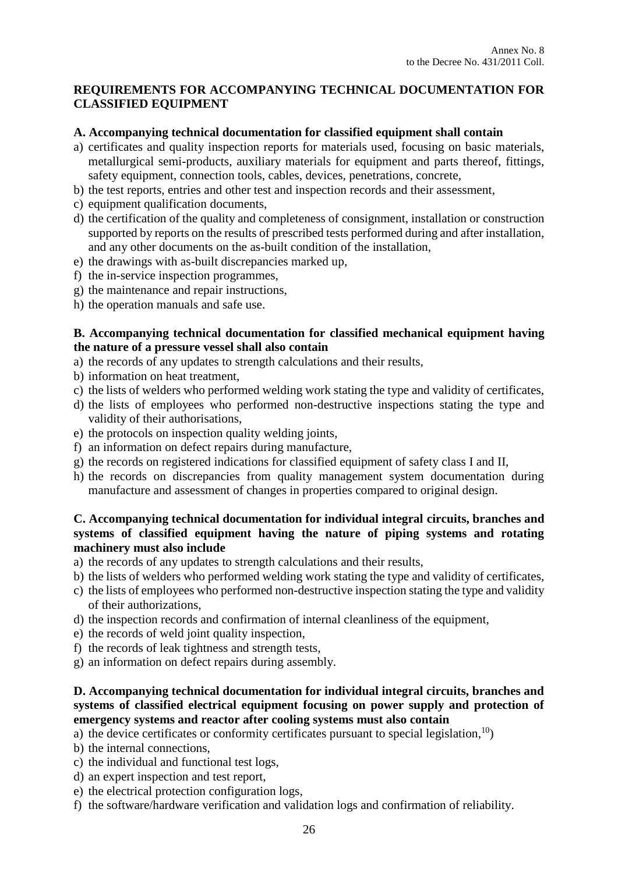# **REQUIREMENTS FOR ACCOMPANYING TECHNICAL DOCUMENTATION FOR CLASSIFIED EQUIPMENT**

### **A. Accompanying technical documentation for classified equipment shall contain**

- a) certificates and quality inspection reports for materials used, focusing on basic materials, metallurgical semi-products, auxiliary materials for equipment and parts thereof, fittings, safety equipment, connection tools, cables, devices, penetrations, concrete,
- b) the test reports, entries and other test and inspection records and their assessment,
- c) equipment qualification documents,
- d) the certification of the quality and completeness of consignment, installation or construction supported by reports on the results of prescribed tests performed during and after installation, and any other documents on the as-built condition of the installation,
- e) the drawings with as-built discrepancies marked up,
- f) the in-service inspection programmes,
- g) the maintenance and repair instructions,
- h) the operation manuals and safe use.

## **B. Accompanying technical documentation for classified mechanical equipment having the nature of a pressure vessel shall also contain**

- a) the records of any updates to strength calculations and their results,
- b) information on heat treatment,
- c) the lists of welders who performed welding work stating the type and validity of certificates,
- d) the lists of employees who performed non-destructive inspections stating the type and validity of their authorisations,
- e) the protocols on inspection quality welding joints,
- f) an information on defect repairs during manufacture,
- g) the records on registered indications for classified equipment of safety class I and II,
- h) the records on discrepancies from quality management system documentation during manufacture and assessment of changes in properties compared to original design.

## **C. Accompanying technical documentation for individual integral circuits, branches and systems of classified equipment having the nature of piping systems and rotating machinery must also include**

- a) the records of any updates to strength calculations and their results,
- b) the lists of welders who performed welding work stating the type and validity of certificates,
- c) the lists of employees who performed non-destructive inspection stating the type and validity of their authorizations,
- d) the inspection records and confirmation of internal cleanliness of the equipment,
- e) the records of weld joint quality inspection,
- f) the records of leak tightness and strength tests,
- g) an information on defect repairs during assembly.

# **D. Accompanying technical documentation for individual integral circuits, branches and systems of classified electrical equipment focusing on power supply and protection of emergency systems and reactor after cooling systems must also contain**

a) the device certificates or conformity certificates pursuant to special legislation,  $\binom{10}{2}$ 

- b) the internal connections,
- c) the individual and functional test logs,
- d) an expert inspection and test report,
- e) the electrical protection configuration logs,
- f) the software/hardware verification and validation logs and confirmation of reliability.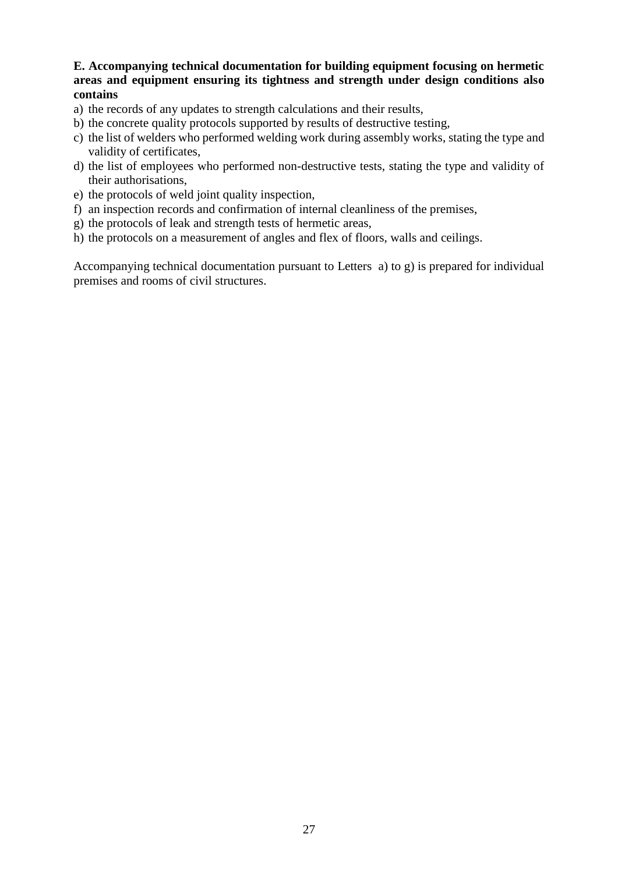## **E. Accompanying technical documentation for building equipment focusing on hermetic areas and equipment ensuring its tightness and strength under design conditions also contains**

- a) the records of any updates to strength calculations and their results,
- b) the concrete quality protocols supported by results of destructive testing,
- c) the list of welders who performed welding work during assembly works, stating the type and validity of certificates,
- d) the list of employees who performed non-destructive tests, stating the type and validity of their authorisations,
- e) the protocols of weld joint quality inspection,
- f) an inspection records and confirmation of internal cleanliness of the premises,
- g) the protocols of leak and strength tests of hermetic areas,
- h) the protocols on a measurement of angles and flex of floors, walls and ceilings.

Accompanying technical documentation pursuant to Letters a) to g) is prepared for individual premises and rooms of civil structures.